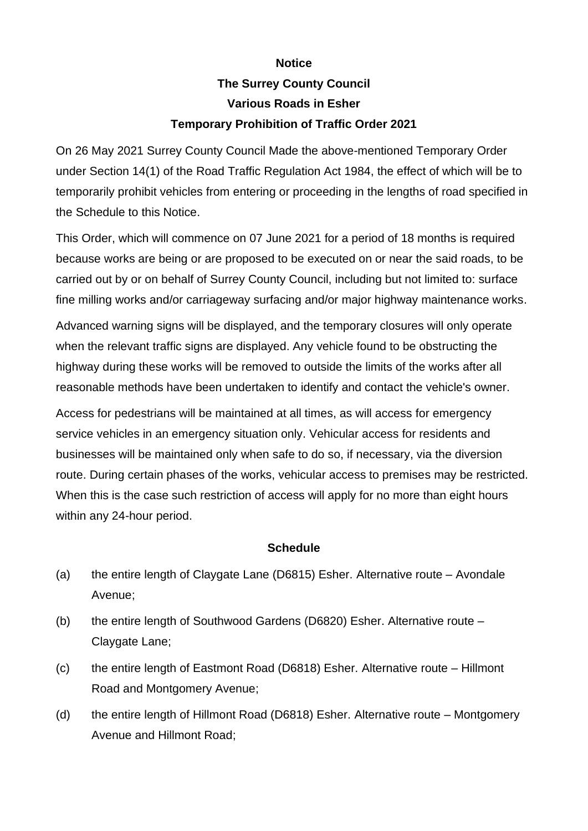## **Notice The Surrey County Council Various Roads in Esher Temporary Prohibition of Traffic Order 2021**

On 26 May 2021 Surrey County Council Made the above-mentioned Temporary Order under Section 14(1) of the Road Traffic Regulation Act 1984, the effect of which will be to temporarily prohibit vehicles from entering or proceeding in the lengths of road specified in the Schedule to this Notice.

This Order, which will commence on 07 June 2021 for a period of 18 months is required because works are being or are proposed to be executed on or near the said roads, to be carried out by or on behalf of Surrey County Council, including but not limited to: surface fine milling works and/or carriageway surfacing and/or major highway maintenance works.

Advanced warning signs will be displayed, and the temporary closures will only operate when the relevant traffic signs are displayed. Any vehicle found to be obstructing the highway during these works will be removed to outside the limits of the works after all reasonable methods have been undertaken to identify and contact the vehicle's owner.

Access for pedestrians will be maintained at all times, as will access for emergency service vehicles in an emergency situation only. Vehicular access for residents and businesses will be maintained only when safe to do so, if necessary, via the diversion route. During certain phases of the works, vehicular access to premises may be restricted. When this is the case such restriction of access will apply for no more than eight hours within any 24-hour period.

## **Schedule**

- (a) the entire length of Claygate Lane (D6815) Esher. Alternative route Avondale Avenue;
- (b) the entire length of Southwood Gardens (D6820) Esher. Alternative route Claygate Lane;
- (c) the entire length of Eastmont Road (D6818) Esher. Alternative route Hillmont Road and Montgomery Avenue;
- (d) the entire length of Hillmont Road (D6818) Esher. Alternative route Montgomery Avenue and Hillmont Road;